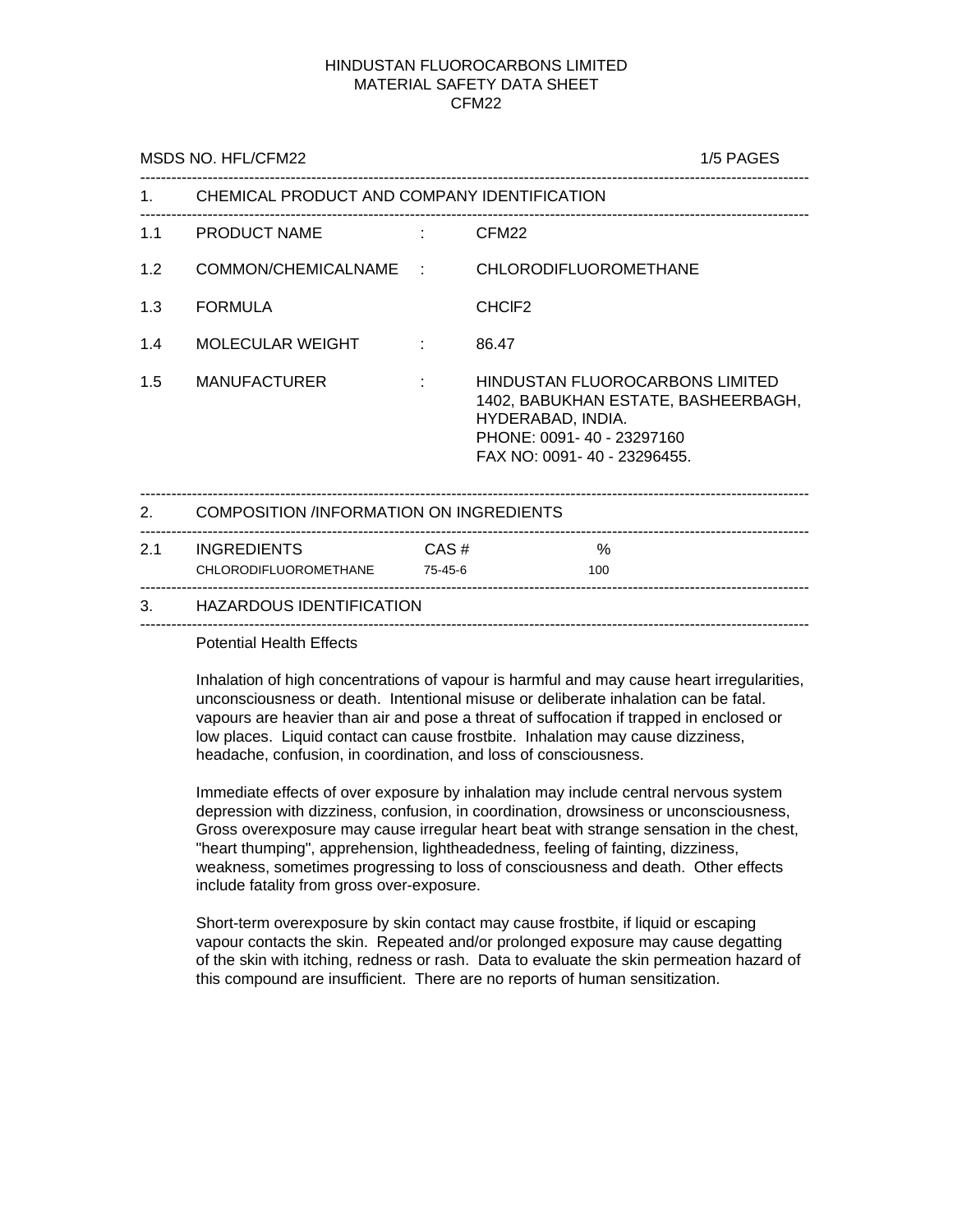# HINDUSTAN FLUOROCARBONS LIMITED MATERIAL SAFETY DATA SHEET CFM22

|     | MSDS NO. HFL/CFM22                                    | 1/5 PAGES       |                                                                                                                                                         |  |  |
|-----|-------------------------------------------------------|-----------------|---------------------------------------------------------------------------------------------------------------------------------------------------------|--|--|
|     | 1. CHEMICAL PRODUCT AND COMPANY IDENTIFICATION        |                 |                                                                                                                                                         |  |  |
|     | 1.1 PRODUCT NAME : CFM22                              |                 |                                                                                                                                                         |  |  |
| 1.2 |                                                       |                 | COMMON/CHEMICALNAME : CHLORODIFLUOROMETHANE                                                                                                             |  |  |
| 1.3 | <b>FORMULA</b>                                        |                 | CHCIF <sub>2</sub>                                                                                                                                      |  |  |
| 1.4 | MOLECULAR WEIGHT<br>and the first                     |                 | 86.47                                                                                                                                                   |  |  |
| 1.5 | <b>MANUFACTURER</b>                                   | and the company | HINDUSTAN FLUOROCARBONS LIMITED<br>1402, BABUKHAN ESTATE, BASHEERBAGH,<br>HYDERABAD, INDIA.<br>PHONE: 0091-40 - 23297160<br>FAX NO: 0091-40 - 23296455. |  |  |
|     | 2. COMPOSITION /INFORMATION ON INGREDIENTS            |                 |                                                                                                                                                         |  |  |
|     | 2.1 INGREDIENTS CAS#<br>CHLORODIFLUOROMETHANE 75-45-6 |                 | $\%$<br>100                                                                                                                                             |  |  |
|     | 3. HAZARDOUS IDENTIFICATION                           |                 |                                                                                                                                                         |  |  |
|     |                                                       |                 |                                                                                                                                                         |  |  |

Potential Health Effects

Inhalation of high concentrations of vapour is harmful and may cause heart irregularities, unconsciousness or death. Intentional misuse or deliberate inhalation can be fatal. vapours are heavier than air and pose a threat of suffocation if trapped in enclosed or low places. Liquid contact can cause frostbite. Inhalation may cause dizziness, headache, confusion, in coordination, and loss of consciousness.

Immediate effects of over exposure by inhalation may include central nervous system depression with dizziness, confusion, in coordination, drowsiness or unconsciousness, Gross overexposure may cause irregular heart beat with strange sensation in the chest, "heart thumping", apprehension, lightheadedness, feeling of fainting, dizziness, weakness, sometimes progressing to loss of consciousness and death. Other effects include fatality from gross over-exposure.

Short-term overexposure by skin contact may cause frostbite, if liquid or escaping vapour contacts the skin. Repeated and/or prolonged exposure may cause degatting of the skin with itching, redness or rash. Data to evaluate the skin permeation hazard of this compound are insufficient. There are no reports of human sensitization.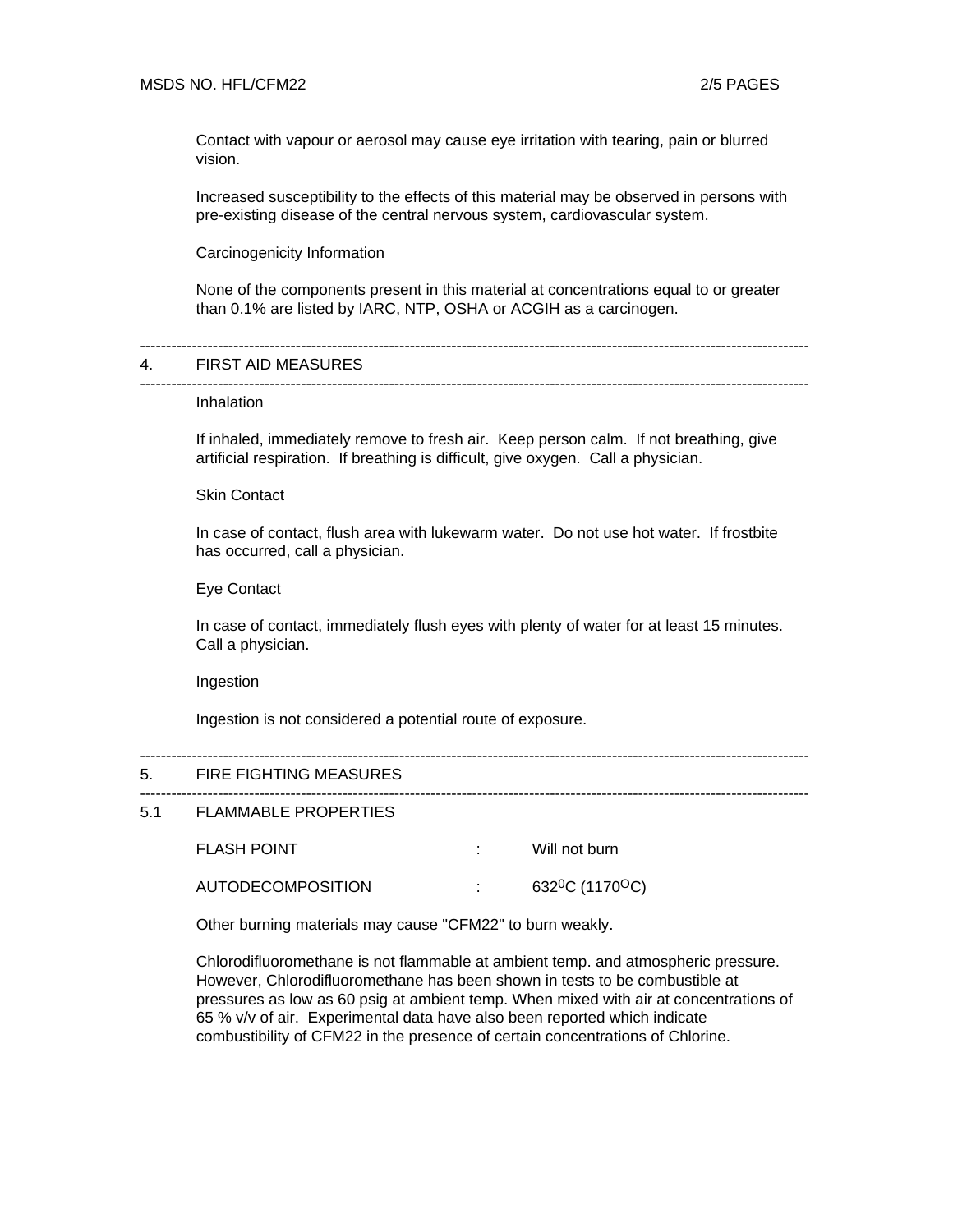Contact with vapour or aerosol may cause eye irritation with tearing, pain or blurred vision.

Increased susceptibility to the effects of this material may be observed in persons with pre-existing disease of the central nervous system, cardiovascular system.

Carcinogenicity Information

None of the components present in this material at concentrations equal to or greater than 0.1% are listed by IARC, NTP, OSHA or ACGIH as a carcinogen.

---------------------------------------------------------------------------------------------------------------------------------

---------------------------------------------------------------------------------------------------------------------------------

#### 4. FIRST AID MEASURES

#### Inhalation

If inhaled, immediately remove to fresh air. Keep person calm. If not breathing, give artificial respiration. If breathing is difficult, give oxygen. Call a physician.

Skin Contact

In case of contact, flush area with lukewarm water. Do not use hot water. If frostbite has occurred, call a physician.

### Eye Contact

In case of contact, immediately flush eyes with plenty of water for at least 15 minutes. Call a physician.

---------------------------------------------------------------------------------------------------------------------------------

---------------------------------------------------------------------------------------------------------------------------------

Ingestion

Ingestion is not considered a potential route of exposure.

#### 5. FIRE FIGHTING MEASURES

### 5.1 FLAMMABLE PROPERTIES

FLASH POINT THE STATE RESERVING TO THE STATE WILL not burn

AUTODECOMPOSITION : 632<sup>0</sup>C (1170<sup>O</sup>C)

Other burning materials may cause "CFM22" to burn weakly.

Chlorodifluoromethane is not flammable at ambient temp. and atmospheric pressure. However, Chlorodifluoromethane has been shown in tests to be combustible at pressures as low as 60 psig at ambient temp. When mixed with air at concentrations of 65 % v/v of air. Experimental data have also been reported which indicate combustibility of CFM22 in the presence of certain concentrations of Chlorine.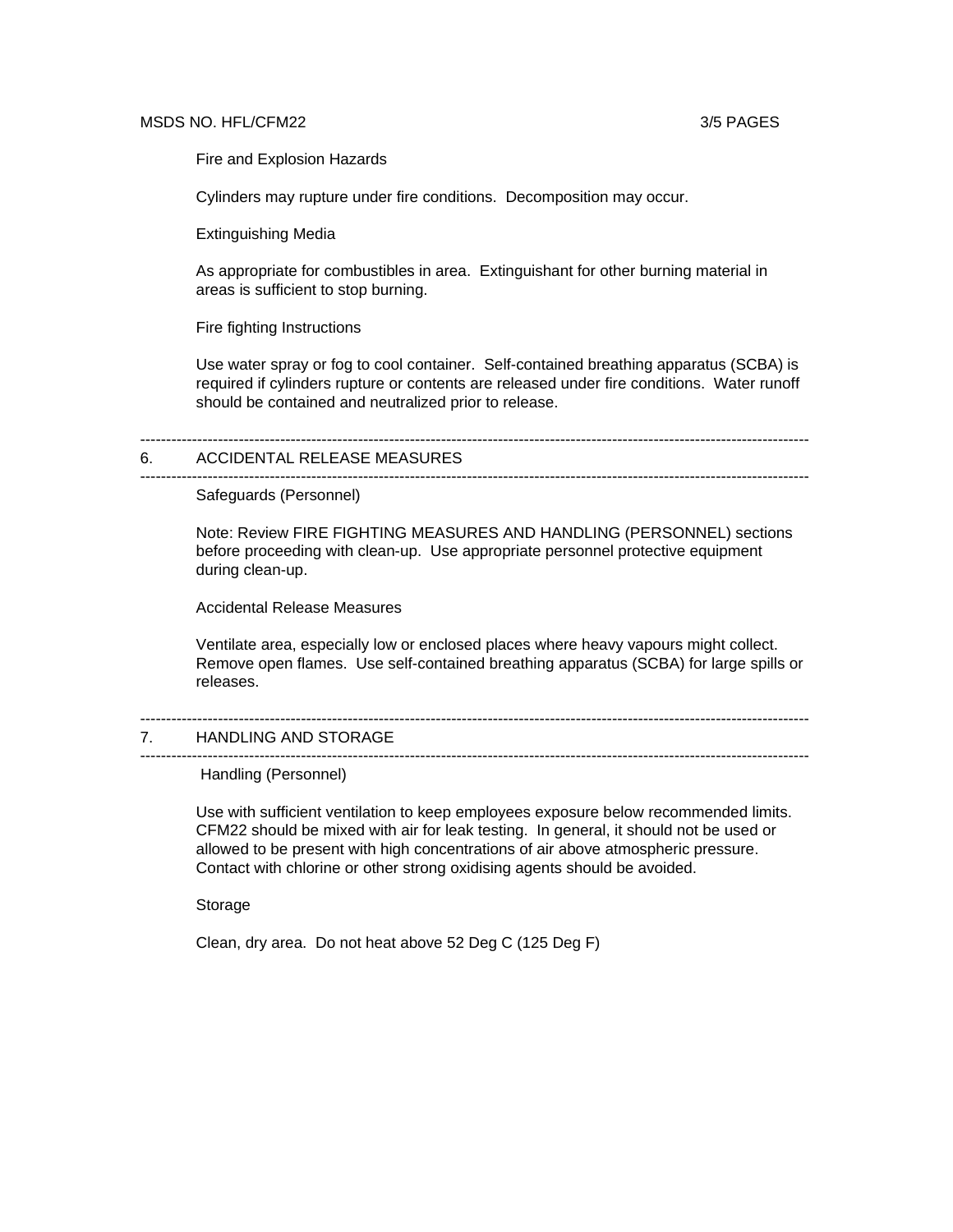# MSDS NO. HFL/CFM22 3/5 PAGES

Fire and Explosion Hazards

Cylinders may rupture under fire conditions. Decomposition may occur.

Extinguishing Media

As appropriate for combustibles in area. Extinguishant for other burning material in areas is sufficient to stop burning.

Fire fighting Instructions

Use water spray or fog to cool container. Self-contained breathing apparatus (SCBA) is required if cylinders rupture or contents are released under fire conditions. Water runoff should be contained and neutralized prior to release.

---------------------------------------------------------------------------------------------------------------------------------

# 6. ACCIDENTAL RELEASE MEASURES

---------------------------------------------------------------------------------------------------------------------------------

Safeguards (Personnel)

Note: Review FIRE FIGHTING MEASURES AND HANDLING (PERSONNEL) sections before proceeding with clean-up. Use appropriate personnel protective equipment during clean-up.

Accidental Release Measures

Ventilate area, especially low or enclosed places where heavy vapours might collect. Remove open flames. Use self-contained breathing apparatus (SCBA) for large spills or releases.

#### --------------------------------------------------------------------------------------------------------------------------------- 7. HANDLING AND STORAGE ---------------------------------------------------------------------------------------------------------------------------------

Handling (Personnel)

Use with sufficient ventilation to keep employees exposure below recommended limits. CFM22 should be mixed with air for leak testing. In general, it should not be used or allowed to be present with high concentrations of air above atmospheric pressure. Contact with chlorine or other strong oxidising agents should be avoided.

Storage

Clean, dry area. Do not heat above 52 Deg C (125 Deg F)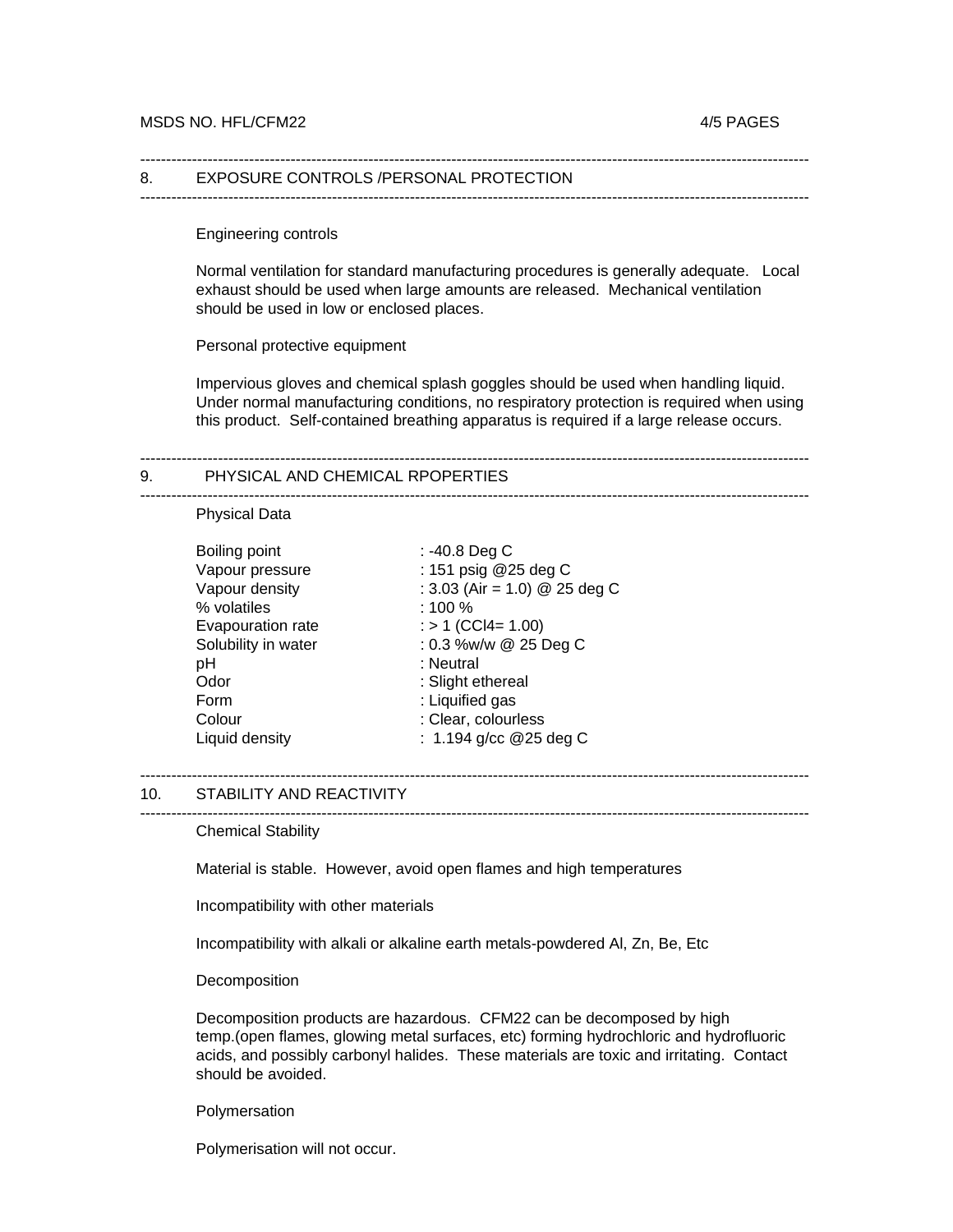#### 8. EXPOSURE CONTROLS /PERSONAL PROTECTION

---------------------------------------------------------------------------------------------------------------------------------

---------------------------------------------------------------------------------------------------------------------------------

Engineering controls

Normal ventilation for standard manufacturing procedures is generally adequate. Local exhaust should be used when large amounts are released. Mechanical ventilation should be used in low or enclosed places.

Personal protective equipment

Impervious gloves and chemical splash goggles should be used when handling liquid. Under normal manufacturing conditions, no respiratory protection is required when using this product. Self-contained breathing apparatus is required if a large release occurs.

---------------------------------------------------------------------------------------------------------------------------------

---------------------------------------------------------------------------------------------------------------------------------

#### 9. PHYSICAL AND CHEMICAL RPOPERTIES

#### Physical Data

| Boiling point       | : -40.8 Deg C                 |
|---------------------|-------------------------------|
| Vapour pressure     | : 151 psig @25 deg C          |
| Vapour density      | : 3.03 (Air = 1.0) @ 25 deg C |
| % volatiles         | : 100 %                       |
| Evapouration rate   | $:$ > 1 (CCl4= 1.00)          |
| Solubility in water | : 0.3 %w/w @ 25 Deg C         |
| рH                  | : Neutral                     |
| Odor                | : Slight ethereal             |
| Form                | : Liquified gas               |
| Colour              | : Clear, colourless           |
| Liquid density      | : 1.194 g/cc $@25$ deg C      |

# ---------------------------------------------------------------------------------------------------------------------------------

#### 10. STABILITY AND REACTIVITY ---------------------------------------------------------------------------------------------------------------------------------

Chemical Stability

Material is stable. However, avoid open flames and high temperatures

Incompatibility with other materials

Incompatibility with alkali or alkaline earth metals-powdered Al, Zn, Be, Etc

**Decomposition** 

Decomposition products are hazardous. CFM22 can be decomposed by high temp.(open flames, glowing metal surfaces, etc) forming hydrochloric and hydrofluoric acids, and possibly carbonyl halides. These materials are toxic and irritating. Contact should be avoided.

### Polymersation

Polymerisation will not occur.